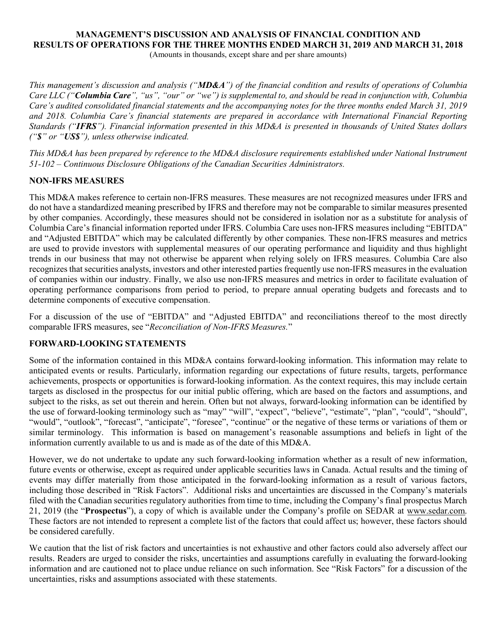# MANAGEMENT'S DISCUSSION AND ANALYSIS OF FINANCIAL CONDITION AND RESULTS OF OPERATIONS FOR THE THREE MONTHS ENDED MARCH 31, 2019 AND MARCH 31, 2018

(Amounts in thousands, except share and per share amounts)

This management's discussion and analysis (" $MD&A$ ") of the financial condition and results of operations of Columbia Care LLC ("Columbia Care", "us", "our" or "we") is supplemental to, and should be read in conjunction with, Columbia Care's audited consolidated financial statements and the accompanying notes for the three months ended March 31, 2019 and 2018. Columbia Care's financial statements are prepared in accordance with International Financial Reporting Standards ("IFRS"). Financial information presented in this MD&A is presented in thousands of United States dollars ("\$" or "US\$"), unless otherwise indicated.

This MD&A has been prepared by reference to the MD&A disclosure requirements established under National Instrument 51-102 – Continuous Disclosure Obligations of the Canadian Securities Administrators.

# NON-IFRS MEASURES

This MD&A makes reference to certain non-IFRS measures. These measures are not recognized measures under IFRS and do not have a standardized meaning prescribed by IFRS and therefore may not be comparable to similar measures presented by other companies. Accordingly, these measures should not be considered in isolation nor as a substitute for analysis of Columbia Care's financial information reported under IFRS. Columbia Care uses non-IFRS measures including "EBITDA" and "Adjusted EBITDA" which may be calculated differently by other companies. These non-IFRS measures and metrics are used to provide investors with supplemental measures of our operating performance and liquidity and thus highlight trends in our business that may not otherwise be apparent when relying solely on IFRS measures. Columbia Care also recognizes that securities analysts, investors and other interested parties frequently use non-IFRS measures in the evaluation of companies within our industry. Finally, we also use non-IFRS measures and metrics in order to facilitate evaluation of operating performance comparisons from period to period, to prepare annual operating budgets and forecasts and to determine components of executive compensation.

For a discussion of the use of "EBITDA" and "Adjusted EBITDA" and reconciliations thereof to the most directly comparable IFRS measures, see "Reconciliation of Non-IFRS Measures."

# FORWARD-LOOKING STATEMENTS

Some of the information contained in this MD&A contains forward-looking information. This information may relate to anticipated events or results. Particularly, information regarding our expectations of future results, targets, performance achievements, prospects or opportunities is forward-looking information. As the context requires, this may include certain targets as disclosed in the prospectus for our initial public offering, which are based on the factors and assumptions, and subject to the risks, as set out therein and herein. Often but not always, forward-looking information can be identified by the use of forward-looking terminology such as "may" "will", "expect", "believe", "estimate", "plan", "could", "should", "would", "outlook", "forecast", "anticipate", "foresee", "continue" or the negative of these terms or variations of them or similar terminology. This information is based on management's reasonable assumptions and beliefs in light of the information currently available to us and is made as of the date of this MD&A.

However, we do not undertake to update any such forward-looking information whether as a result of new information, future events or otherwise, except as required under applicable securities laws in Canada. Actual results and the timing of events may differ materially from those anticipated in the forward-looking information as a result of various factors, including those described in "Risk Factors". Additional risks and uncertainties are discussed in the Company's materials filed with the Canadian securities regulatory authorities from time to time, including the Company's final prospectus March 21, 2019 (the "Prospectus"), a copy of which is available under the Company's profile on SEDAR at www.sedar.com. These factors are not intended to represent a complete list of the factors that could affect us; however, these factors should be considered carefully.

We caution that the list of risk factors and uncertainties is not exhaustive and other factors could also adversely affect our results. Readers are urged to consider the risks, uncertainties and assumptions carefully in evaluating the forward-looking information and are cautioned not to place undue reliance on such information. See "Risk Factors" for a discussion of the uncertainties, risks and assumptions associated with these statements.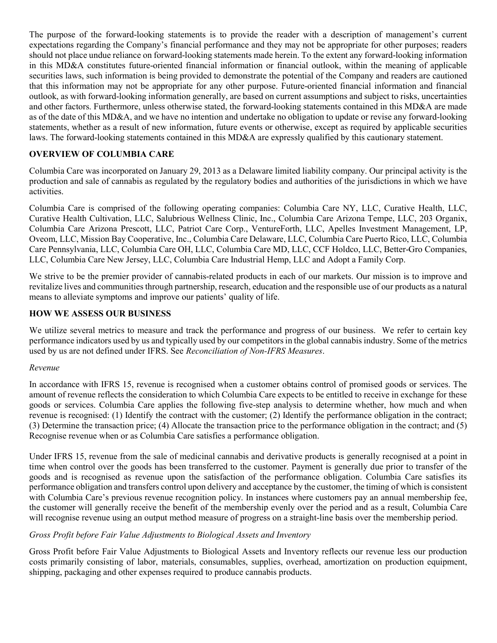The purpose of the forward-looking statements is to provide the reader with a description of management's current expectations regarding the Company's financial performance and they may not be appropriate for other purposes; readers should not place undue reliance on forward-looking statements made herein. To the extent any forward-looking information in this MD&A constitutes future-oriented financial information or financial outlook, within the meaning of applicable securities laws, such information is being provided to demonstrate the potential of the Company and readers are cautioned that this information may not be appropriate for any other purpose. Future-oriented financial information and financial outlook, as with forward-looking information generally, are based on current assumptions and subject to risks, uncertainties and other factors. Furthermore, unless otherwise stated, the forward-looking statements contained in this MD&A are made as of the date of this MD&A, and we have no intention and undertake no obligation to update or revise any forward-looking statements, whether as a result of new information, future events or otherwise, except as required by applicable securities laws. The forward-looking statements contained in this MD&A are expressly qualified by this cautionary statement.

# OVERVIEW OF COLUMBIA CARE

Columbia Care was incorporated on January 29, 2013 as a Delaware limited liability company. Our principal activity is the production and sale of cannabis as regulated by the regulatory bodies and authorities of the jurisdictions in which we have activities.

Columbia Care is comprised of the following operating companies: Columbia Care NY, LLC, Curative Health, LLC, Curative Health Cultivation, LLC, Salubrious Wellness Clinic, Inc., Columbia Care Arizona Tempe, LLC, 203 Organix, Columbia Care Arizona Prescott, LLC, Patriot Care Corp., VentureForth, LLC, Apelles Investment Management, LP, Oveom, LLC, Mission Bay Cooperative, Inc., Columbia Care Delaware, LLC, Columbia Care Puerto Rico, LLC, Columbia Care Pennsylvania, LLC, Columbia Care OH, LLC, Columbia Care MD, LLC, CCF Holdco, LLC, Better-Gro Companies, LLC, Columbia Care New Jersey, LLC, Columbia Care Industrial Hemp, LLC and Adopt a Family Corp.

We strive to be the premier provider of cannabis-related products in each of our markets. Our mission is to improve and revitalize lives and communities through partnership, research, education and the responsible use of our products as a natural means to alleviate symptoms and improve our patients' quality of life.

### HOW WE ASSESS OUR BUSINESS

We utilize several metrics to measure and track the performance and progress of our business. We refer to certain key performance indicators used by us and typically used by our competitors in the global cannabis industry. Some of the metrics used by us are not defined under IFRS. See Reconciliation of Non-IFRS Measures.

#### Revenue

In accordance with IFRS 15, revenue is recognised when a customer obtains control of promised goods or services. The amount of revenue reflects the consideration to which Columbia Care expects to be entitled to receive in exchange for these goods or services. Columbia Care applies the following five-step analysis to determine whether, how much and when revenue is recognised: (1) Identify the contract with the customer; (2) Identify the performance obligation in the contract; (3) Determine the transaction price; (4) Allocate the transaction price to the performance obligation in the contract; and (5) Recognise revenue when or as Columbia Care satisfies a performance obligation.

Under IFRS 15, revenue from the sale of medicinal cannabis and derivative products is generally recognised at a point in time when control over the goods has been transferred to the customer. Payment is generally due prior to transfer of the goods and is recognised as revenue upon the satisfaction of the performance obligation. Columbia Care satisfies its performance obligation and transfers control upon delivery and acceptance by the customer, the timing of which is consistent with Columbia Care's previous revenue recognition policy. In instances where customers pay an annual membership fee, the customer will generally receive the benefit of the membership evenly over the period and as a result, Columbia Care will recognise revenue using an output method measure of progress on a straight-line basis over the membership period.

#### Gross Profit before Fair Value Adjustments to Biological Assets and Inventory

Gross Profit before Fair Value Adjustments to Biological Assets and Inventory reflects our revenue less our production costs primarily consisting of labor, materials, consumables, supplies, overhead, amortization on production equipment, shipping, packaging and other expenses required to produce cannabis products.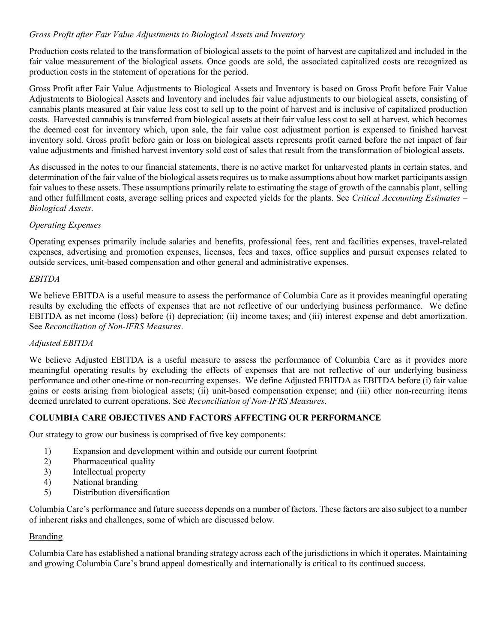### Gross Profit after Fair Value Adjustments to Biological Assets and Inventory

Production costs related to the transformation of biological assets to the point of harvest are capitalized and included in the fair value measurement of the biological assets. Once goods are sold, the associated capitalized costs are recognized as production costs in the statement of operations for the period.

Gross Profit after Fair Value Adjustments to Biological Assets and Inventory is based on Gross Profit before Fair Value Adjustments to Biological Assets and Inventory and includes fair value adjustments to our biological assets, consisting of cannabis plants measured at fair value less cost to sell up to the point of harvest and is inclusive of capitalized production costs. Harvested cannabis is transferred from biological assets at their fair value less cost to sell at harvest, which becomes the deemed cost for inventory which, upon sale, the fair value cost adjustment portion is expensed to finished harvest inventory sold. Gross profit before gain or loss on biological assets represents profit earned before the net impact of fair value adjustments and finished harvest inventory sold cost of sales that result from the transformation of biological assets.

As discussed in the notes to our financial statements, there is no active market for unharvested plants in certain states, and determination of the fair value of the biological assets requires us to make assumptions about how market participants assign fair values to these assets. These assumptions primarily relate to estimating the stage of growth of the cannabis plant, selling and other fulfillment costs, average selling prices and expected yields for the plants. See Critical Accounting Estimates – Biological Assets.

### Operating Expenses

Operating expenses primarily include salaries and benefits, professional fees, rent and facilities expenses, travel-related expenses, advertising and promotion expenses, licenses, fees and taxes, office supplies and pursuit expenses related to outside services, unit-based compensation and other general and administrative expenses.

### EBITDA

We believe EBITDA is a useful measure to assess the performance of Columbia Care as it provides meaningful operating results by excluding the effects of expenses that are not reflective of our underlying business performance. We define EBITDA as net income (loss) before (i) depreciation; (ii) income taxes; and (iii) interest expense and debt amortization. See Reconciliation of Non-IFRS Measures.

# Adjusted EBITDA

We believe Adjusted EBITDA is a useful measure to assess the performance of Columbia Care as it provides more meaningful operating results by excluding the effects of expenses that are not reflective of our underlying business performance and other one-time or non-recurring expenses. We define Adjusted EBITDA as EBITDA before (i) fair value gains or costs arising from biological assets; (ii) unit-based compensation expense; and (iii) other non-recurring items deemed unrelated to current operations. See Reconciliation of Non-IFRS Measures.

# COLUMBIA CARE OBJECTIVES AND FACTORS AFFECTING OUR PERFORMANCE

Our strategy to grow our business is comprised of five key components:

- 1) Expansion and development within and outside our current footprint
- 2) Pharmaceutical quality
- 3) Intellectual property
- 4) National branding
- 5) Distribution diversification

Columbia Care's performance and future success depends on a number of factors. These factors are also subject to a number of inherent risks and challenges, some of which are discussed below.

#### Branding

Columbia Care has established a national branding strategy across each of the jurisdictions in which it operates. Maintaining and growing Columbia Care's brand appeal domestically and internationally is critical to its continued success.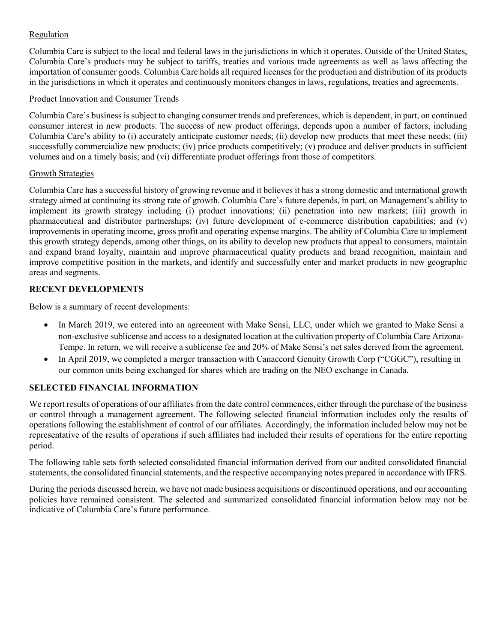# Regulation

Columbia Care is subject to the local and federal laws in the jurisdictions in which it operates. Outside of the United States, Columbia Care's products may be subject to tariffs, treaties and various trade agreements as well as laws affecting the importation of consumer goods. Columbia Care holds all required licenses for the production and distribution of its products in the jurisdictions in which it operates and continuously monitors changes in laws, regulations, treaties and agreements.

# Product Innovation and Consumer Trends

Columbia Care's business is subject to changing consumer trends and preferences, which is dependent, in part, on continued consumer interest in new products. The success of new product offerings, depends upon a number of factors, including Columbia Care's ability to (i) accurately anticipate customer needs; (ii) develop new products that meet these needs; (iii) successfully commercialize new products; (iv) price products competitively; (v) produce and deliver products in sufficient volumes and on a timely basis; and (vi) differentiate product offerings from those of competitors.

### Growth Strategies

Columbia Care has a successful history of growing revenue and it believes it has a strong domestic and international growth strategy aimed at continuing its strong rate of growth. Columbia Care's future depends, in part, on Management's ability to implement its growth strategy including (i) product innovations; (ii) penetration into new markets; (iii) growth in pharmaceutical and distributor partnerships; (iv) future development of e-commerce distribution capabilities; and (v) improvements in operating income, gross profit and operating expense margins. The ability of Columbia Care to implement this growth strategy depends, among other things, on its ability to develop new products that appeal to consumers, maintain and expand brand loyalty, maintain and improve pharmaceutical quality products and brand recognition, maintain and improve competitive position in the markets, and identify and successfully enter and market products in new geographic areas and segments.

# RECENT DEVELOPMENTS

Below is a summary of recent developments:

- In March 2019, we entered into an agreement with Make Sensi, LLC, under which we granted to Make Sensi a non-exclusive sublicense and access to a designated location at the cultivation property of Columbia Care Arizona-Tempe. In return, we will receive a sublicense fee and 20% of Make Sensi's net sales derived from the agreement.
- In April 2019, we completed a merger transaction with Canaccord Genuity Growth Corp ("CGGC"), resulting in our common units being exchanged for shares which are trading on the NEO exchange in Canada.

# SELECTED FINANCIAL INFORMATION

We report results of operations of our affiliates from the date control commences, either through the purchase of the business or control through a management agreement. The following selected financial information includes only the results of operations following the establishment of control of our affiliates. Accordingly, the information included below may not be representative of the results of operations if such affiliates had included their results of operations for the entire reporting period.

The following table sets forth selected consolidated financial information derived from our audited consolidated financial statements, the consolidated financial statements, and the respective accompanying notes prepared in accordance with IFRS.

During the periods discussed herein, we have not made business acquisitions or discontinued operations, and our accounting policies have remained consistent. The selected and summarized consolidated financial information below may not be indicative of Columbia Care's future performance.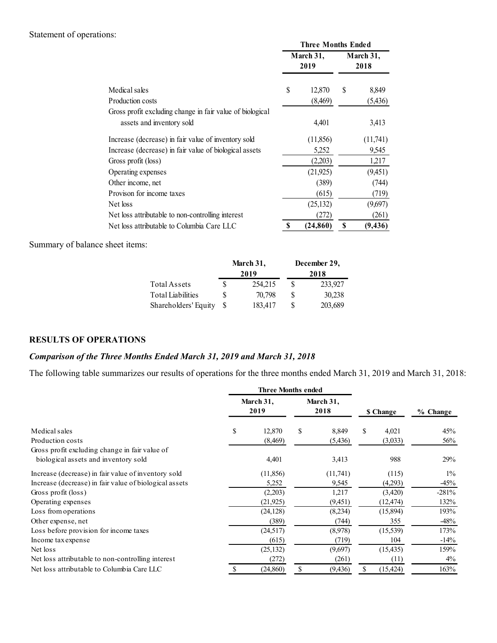# Statement of operations:

|                     |                                                           |                   |             | <b>Three Months Ended</b><br>March 31, |             | March 31,        |
|---------------------|-----------------------------------------------------------|-------------------|-------------|----------------------------------------|-------------|------------------|
|                     |                                                           |                   |             | 2019                                   |             | 2018             |
| Medical sales       |                                                           |                   |             |                                        |             |                  |
| Production costs    |                                                           |                   | \$          | 12,870<br>(8,469)                      | \$          | 8,849<br>(5,436) |
|                     | Gross profit excluding change in fair value of biological |                   |             |                                        |             |                  |
|                     | assets and inventory sold                                 |                   |             | 4,401                                  |             | 3,413            |
|                     | Increase (decrease) in fair value of inventory sold       |                   |             | (11, 856)                              |             | (11,741)         |
|                     | Increase (decrease) in fair value of biological assets    |                   |             | 5,252                                  |             | 9,545            |
| Gross profit (loss) |                                                           |                   |             | (2,203)                                |             | 1,217            |
| Operating expenses  |                                                           |                   |             | (21, 925)                              |             | (9,451)          |
| Other income, net   |                                                           |                   |             | (389)                                  |             | (744)            |
|                     | Provison for income taxes                                 |                   |             | (615)                                  |             | (719)            |
| Net loss            |                                                           |                   |             | (25, 132)                              |             | (9,697)          |
|                     | Net loss attributable to non-controlling interest         |                   |             | (272)                                  |             | (261)            |
|                     | Net loss attributable to Columbia Care LLC                |                   | S           | (24, 860)                              | $\mathbf S$ | (9, 436)         |
| sheet items:        |                                                           |                   |             |                                        |             |                  |
|                     |                                                           | March 31,<br>2019 |             | December 29,<br>2018                   |             |                  |
|                     | Total Assets                                              | 254,215<br>\$     | $\mathbb S$ | 233,927                                |             |                  |
|                     | <b>Total Liabilities</b>                                  | \$<br>70,798      | \$          | 30,238                                 |             |                  |
|                     | Shareholders' Equity                                      | \$<br>183,417     | \$          | 203,689                                |             |                  |

|                         | March 31, | December 29, |
|-------------------------|-----------|--------------|
|                         | 2019      | 2018         |
| Total Assets            | 254, 215  | 233,927      |
| Total Liabilities       | 70.798    | 30,238       |
| Shareholders' Equity \$ | 183.417   | 203,689      |

### RESULTS OF OPERATIONS

# Comparison of the Three Months Ended March 31, 2019 and March 31, 2018

| Net loss                                                                                                               |                                                   |           |                           |              | (25, 132)         | (9,697)      |                    |          |
|------------------------------------------------------------------------------------------------------------------------|---------------------------------------------------|-----------|---------------------------|--------------|-------------------|--------------|--------------------|----------|
|                                                                                                                        | Net loss attributable to non-controlling interest |           |                           |              | (272)             |              | (261)              |          |
|                                                                                                                        | Net loss attributable to Columbia Care LLC        |           |                           | S            | $(24,860)$ \$     | (9, 436)     |                    |          |
| Summary of balance sheet items:                                                                                        |                                                   |           |                           |              |                   |              |                    |          |
|                                                                                                                        |                                                   | March 31, |                           |              | December 29,      |              |                    |          |
|                                                                                                                        |                                                   | 2019      |                           |              | 2018              |              |                    |          |
|                                                                                                                        | Total Assets                                      | \$        | 254,215                   | $\mathbb S$  | 233,927           |              |                    |          |
|                                                                                                                        | <b>Total Liabilities</b>                          | \$        | 70,798                    | $\mathbb{S}$ | 30,238            |              |                    |          |
|                                                                                                                        | Shareholders' Equity                              | \$        | 183,417                   | $\mathbb{S}$ | 203,689           |              |                    |          |
| <b>RESULTS OF OPERATIONS</b>                                                                                           |                                                   |           |                           |              |                   |              |                    |          |
| Comparison of the Three Months Ended March 31, 2019 and March 31, 2018                                                 |                                                   |           |                           |              |                   |              |                    |          |
|                                                                                                                        |                                                   |           |                           |              |                   |              |                    |          |
|                                                                                                                        |                                                   |           |                           |              |                   |              |                    |          |
| The following table summarizes our results of operations for the three months ended March 31, 2019 and March 31, 2018: |                                                   |           |                           |              |                   |              |                    |          |
|                                                                                                                        |                                                   |           | <b>Three Months ended</b> |              |                   |              |                    |          |
|                                                                                                                        |                                                   |           | March 31,<br>2019         |              | March 31,<br>2018 |              | \$ Change          | % Change |
| Medical sales                                                                                                          |                                                   | \$        | 12,870                    | \$           | 8,849             | $\mathbb{S}$ | 4,021              | 45%      |
| Production costs                                                                                                       |                                                   |           | (8, 469)                  |              | (5, 436)          |              | (3,033)            | 56%      |
| Gross profit excluding change in fair value of                                                                         |                                                   |           |                           |              |                   |              |                    |          |
| biological assets and inventory sold                                                                                   |                                                   |           | 4,401                     |              | 3,413             |              | 988                | 29%      |
| Increase (decrease) in fair value of inventory sold                                                                    |                                                   |           | (11, 856)                 |              | (11,741)          |              | (115)              | 1%       |
| Increase (decrease) in fair value of biological assets                                                                 |                                                   |           |                           |              |                   |              |                    | $-45%$   |
| Gross profit (loss)                                                                                                    |                                                   |           | 5,252<br>(2,203)          |              | 9,545<br>1,217    |              | (4,293)<br>(3,420) | $-281%$  |
| Operating expenses                                                                                                     |                                                   |           | (21, 925)                 |              | (9, 451)          |              | (12, 474)          | 132%     |
| Loss from operations                                                                                                   |                                                   |           | (24, 128)                 |              | (8,234)           |              | (15,894)           | 193%     |
| Other expense, net                                                                                                     |                                                   |           | (389)                     |              | (744)             |              | 355                | $-48%$   |
| Loss before provision for income taxes                                                                                 |                                                   |           | (24,517)                  |              | (8,978)           |              | (15, 539)          | 173%     |
| Income tax expense                                                                                                     |                                                   |           |                           |              | (719)             |              | 104                | $-14%$   |
| Net loss                                                                                                               |                                                   |           | (615)<br>(25, 132)        |              | (9,697)           |              | (15, 435)          | 159%     |
| Net loss attributable to non-controlling interest                                                                      |                                                   |           | (272)                     |              | (261)             |              | (11)               | 4%       |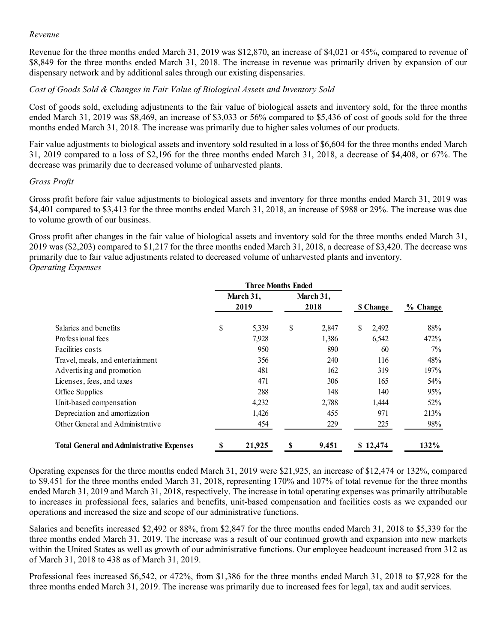#### Revenue

Revenue for the three months ended March 31, 2019 was \$12,870, an increase of \$4,021 or 45%, compared to revenue of \$8,849 for the three months ended March 31, 2018. The increase in revenue was primarily driven by expansion of our dispensary network and by additional sales through our existing dispensaries.

### Cost of Goods Sold & Changes in Fair Value of Biological Assets and Inventory Sold

Cost of goods sold, excluding adjustments to the fair value of biological assets and inventory sold, for the three months ended March 31, 2019 was \$8,469, an increase of \$3,033 or 56% compared to \$5,436 of cost of goods sold for the three months ended March 31, 2018. The increase was primarily due to higher sales volumes of our products.

Fair value adjustments to biological assets and inventory sold resulted in a loss of \$6,604 for the three months ended March 31, 2019 compared to a loss of \$2,196 for the three months ended March 31, 2018, a decrease of \$4,408, or 67%. The decrease was primarily due to decreased volume of unharvested plants.

#### Gross Profit

Gross profit before fair value adjustments to biological assets and inventory for three months ended March 31, 2019 was \$4,401 compared to \$3,413 for the three months ended March 31, 2018, an increase of \$988 or 29%. The increase was due to volume growth of our business.

Gross profit after changes in the fair value of biological assets and inventory sold for the three months ended March 31, 2019 was (\$2,203) compared to \$1,217 for the three months ended March 31, 2018, a decrease of \$3,420. The decrease was primarily due to fair value adjustments related to decreased volume of unharvested plants and inventory. Operating Expenses

|                                                                                                                                                                                                                                                                                                                                              | f Goods Sold & Changes in Fair Value of Biological Assets and Inventory Sold |                   |                 |             |
|----------------------------------------------------------------------------------------------------------------------------------------------------------------------------------------------------------------------------------------------------------------------------------------------------------------------------------------------|------------------------------------------------------------------------------|-------------------|-----------------|-------------|
| of goods sold, excluding adjustments to the fair value of biological assets and inventory sold, for the three months<br>March 31, 2019 was \$8,469, an increase of \$3,033 or 56% compared to \$5,436 of cost of goods sold for the three<br>s ended March 31, 2018. The increase was primarily due to higher sales volumes of our products. |                                                                              |                   |                 |             |
| alue adjustments to biological assets and inventory sold resulted in a loss of \$6,604 for the three months ended March<br>19 compared to a loss of \$2,196 for the three months ended March 31, 2018, a decrease of \$4,408, or 67%. The<br>se was primarily due to decreased volume of unharvested plants.                                 |                                                                              |                   |                 |             |
| Profit                                                                                                                                                                                                                                                                                                                                       |                                                                              |                   |                 |             |
| profit before fair value adjustments to biological assets and inventory for three months ended March 31, 2019 was<br>compared to \$3,413 for the three months ended March 31, 2018, an increase of \$988 or 29%. The increase was due<br>ume growth of our business.                                                                         |                                                                              |                   |                 |             |
| profit after changes in the fair value of biological assets and inventory sold for the three months ended March 31,<br>vas (\$2,203) compared to \$1,217 for the three months ended March 31, 2018, a decrease of \$3,420. The decrease was                                                                                                  |                                                                              |                   |                 |             |
| ily due to fair value adjustments related to decreased volume of unharvested plants and inventory.<br>ting Expenses                                                                                                                                                                                                                          |                                                                              |                   |                 |             |
|                                                                                                                                                                                                                                                                                                                                              | <b>Three Months Ended</b>                                                    |                   |                 |             |
|                                                                                                                                                                                                                                                                                                                                              | March 31,<br>2019                                                            | March 31,<br>2018 | <b>S</b> Change | % Change    |
|                                                                                                                                                                                                                                                                                                                                              |                                                                              |                   |                 |             |
| Salaries and benefits                                                                                                                                                                                                                                                                                                                        | \$<br>5,339                                                                  | \$<br>2,847       | \$<br>2,492     | 88%         |
| Professional fees                                                                                                                                                                                                                                                                                                                            | 7,928                                                                        | 1,386             | 6,542           | 472%        |
| Facilities costs                                                                                                                                                                                                                                                                                                                             | 950                                                                          | 890               | 60              | 7%          |
| Travel, meals, and entertainment                                                                                                                                                                                                                                                                                                             | 356                                                                          | 240               | 116             | 48%         |
| Advertising and promotion                                                                                                                                                                                                                                                                                                                    | 481                                                                          | 162               | 319             | 197%        |
| Licenses, fees, and taxes                                                                                                                                                                                                                                                                                                                    | 471                                                                          | 306               | 165             | 54%         |
| Office Supplies                                                                                                                                                                                                                                                                                                                              | 288                                                                          | 148               | 140             | 95%         |
| Unit-based compensation                                                                                                                                                                                                                                                                                                                      | 4,232<br>1,426                                                               | 2,788<br>455      | 1,444<br>971    | 52%<br>213% |
| Depreciation and amortization<br>Other General and Administrative                                                                                                                                                                                                                                                                            | 454                                                                          | 229               | 225             | $98\%$      |

Operating expenses for the three months ended March 31, 2019 were \$21,925, an increase of \$12,474 or 132%, compared to \$9,451 for the three months ended March 31, 2018, representing 170% and 107% of total revenue for the three months ended March 31, 2019 and March 31, 2018, respectively. The increase in total operating expenses was primarily attributable to increases in professional fees, salaries and benefits, unit-based compensation and facilities costs as we expanded our operations and increased the size and scope of our administrative functions.

Salaries and benefits increased \$2,492 or 88%, from \$2,847 for the three months ended March 31, 2018 to \$5,339 for the three months ended March 31, 2019. The increase was a result of our continued growth and expansion into new markets within the United States as well as growth of our administrative functions. Our employee headcount increased from 312 as of March 31, 2018 to 438 as of March 31, 2019.

Professional fees increased \$6,542, or 472%, from \$1,386 for the three months ended March 31, 2018 to \$7,928 for the three months ended March 31, 2019. The increase was primarily due to increased fees for legal, tax and audit services.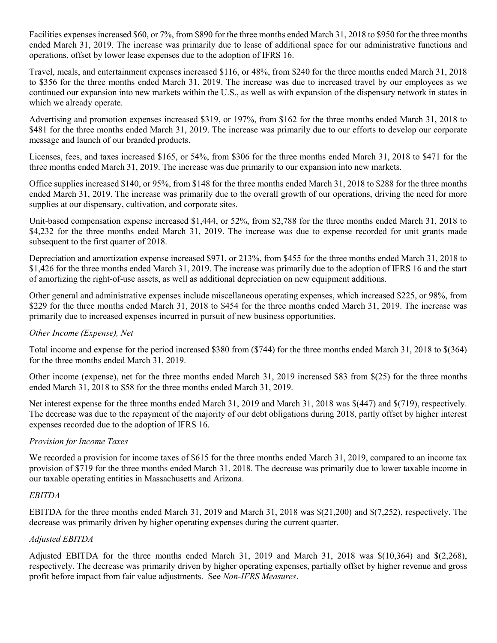Facilities expenses increased \$60, or 7%, from \$890 for the three months ended March 31, 2018 to \$950 for the three months ended March 31, 2019. The increase was primarily due to lease of additional space for our administrative functions and operations, offset by lower lease expenses due to the adoption of IFRS 16.

Travel, meals, and entertainment expenses increased \$116, or 48%, from \$240 for the three months ended March 31, 2018 to \$356 for the three months ended March 31, 2019. The increase was due to increased travel by our employees as we continued our expansion into new markets within the U.S., as well as with expansion of the dispensary network in states in which we already operate.

Advertising and promotion expenses increased \$319, or 197%, from \$162 for the three months ended March 31, 2018 to \$481 for the three months ended March 31, 2019. The increase was primarily due to our efforts to develop our corporate message and launch of our branded products.

Licenses, fees, and taxes increased \$165, or 54%, from \$306 for the three months ended March 31, 2018 to \$471 for the three months ended March 31, 2019. The increase was due primarily to our expansion into new markets.

Office supplies increased \$140, or 95%, from \$148 for the three months ended March 31, 2018 to \$288 for the three months ended March 31, 2019. The increase was primarily due to the overall growth of our operations, driving the need for more supplies at our dispensary, cultivation, and corporate sites.

Unit-based compensation expense increased \$1,444, or 52%, from \$2,788 for the three months ended March 31, 2018 to \$4,232 for the three months ended March 31, 2019. The increase was due to expense recorded for unit grants made subsequent to the first quarter of 2018.

Depreciation and amortization expense increased \$971, or 213%, from \$455 for the three months ended March 31, 2018 to \$1,426 for the three months ended March 31, 2019. The increase was primarily due to the adoption of IFRS 16 and the start of amortizing the right-of-use assets, as well as additional depreciation on new equipment additions.

Other general and administrative expenses include miscellaneous operating expenses, which increased \$225, or 98%, from \$229 for the three months ended March 31, 2018 to \$454 for the three months ended March 31, 2019. The increase was primarily due to increased expenses incurred in pursuit of new business opportunities.

# Other Income (Expense), Net

Total income and expense for the period increased \$380 from (\$744) for the three months ended March 31, 2018 to \$(364) for the three months ended March 31, 2019.

Other income (expense), net for the three months ended March 31, 2019 increased \$83 from \$(25) for the three months ended March 31, 2018 to \$58 for the three months ended March 31, 2019.

Net interest expense for the three months ended March 31, 2019 and March 31, 2018 was \$(447) and \$(719), respectively. The decrease was due to the repayment of the majority of our debt obligations during 2018, partly offset by higher interest expenses recorded due to the adoption of IFRS 16.

#### Provision for Income Taxes

We recorded a provision for income taxes of \$615 for the three months ended March 31, 2019, compared to an income tax provision of \$719 for the three months ended March 31, 2018. The decrease was primarily due to lower taxable income in our taxable operating entities in Massachusetts and Arizona.

#### EBITDA

EBITDA for the three months ended March 31, 2019 and March 31, 2018 was \$(21,200) and \$(7,252), respectively. The decrease was primarily driven by higher operating expenses during the current quarter.

#### Adjusted EBITDA

Adjusted EBITDA for the three months ended March 31, 2019 and March 31, 2018 was \$(10,364) and \$(2,268), respectively. The decrease was primarily driven by higher operating expenses, partially offset by higher revenue and gross profit before impact from fair value adjustments. See Non-IFRS Measures.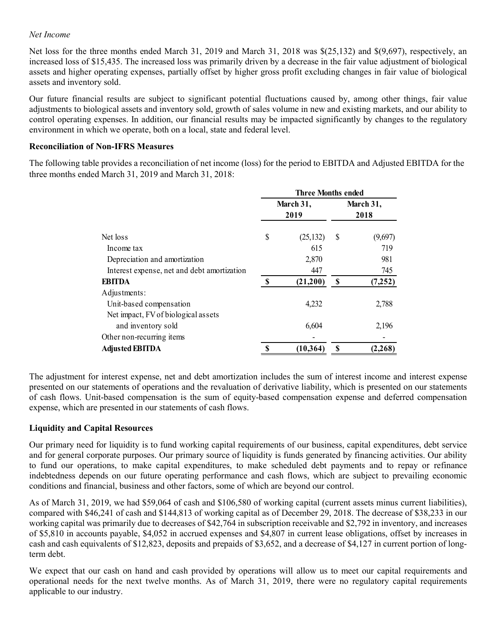### Net Income

Net loss for the three months ended March 31, 2019 and March 31, 2018 was \$(25,132) and \$(9,697), respectively, an increased loss of \$15,435. The increased loss was primarily driven by a decrease in the fair value adjustment of biological assets and higher operating expenses, partially offset by higher gross profit excluding changes in fair value of biological assets and inventory sold.

Our future financial results are subject to significant potential fluctuations caused by, among other things, fair value adjustments to biological assets and inventory sold, growth of sales volume in new and existing markets, and our ability to control operating expenses. In addition, our financial results may be impacted significantly by changes to the regulatory environment in which we operate, both on a local, state and federal level.

#### Reconciliation of Non-IFRS Measures

The following table provides a reconciliation of net income (loss) for the period to EBITDA and Adjusted EBITDA for the three months ended March 31, 2019 and March 31, 2018:

| 5,435. The increased loss was primarily driven by a decrease in the fair value adjustment of biological<br>perating expenses, partially offset by higher gross profit excluding changes in fair value of biological                                                                                                                                                                     |             |                           |             |                   |
|-----------------------------------------------------------------------------------------------------------------------------------------------------------------------------------------------------------------------------------------------------------------------------------------------------------------------------------------------------------------------------------------|-------------|---------------------------|-------------|-------------------|
| / sold.                                                                                                                                                                                                                                                                                                                                                                                 |             |                           |             |                   |
| I results are subject to significant potential fluctuations caused by, among other things, fair value<br>ogical assets and inventory sold, growth of sales volume in new and existing markets, and our ability to<br>xpenses. In addition, our financial results may be impacted significantly by changes to the regulatory<br>ch we operate, both on a local, state and federal level. |             |                           |             |                   |
| <b>Von-IFRS Measures</b>                                                                                                                                                                                                                                                                                                                                                                |             |                           |             |                   |
| provides a reconciliation of net income (loss) for the period to EBITDA and Adjusted EBITDA for the<br>March 31, 2019 and March 31, 2018:                                                                                                                                                                                                                                               |             |                           |             |                   |
|                                                                                                                                                                                                                                                                                                                                                                                         |             |                           |             |                   |
|                                                                                                                                                                                                                                                                                                                                                                                         |             | <b>Three Months ended</b> |             |                   |
|                                                                                                                                                                                                                                                                                                                                                                                         |             | March 31,<br>2019         |             | March 31,<br>2018 |
| Net loss                                                                                                                                                                                                                                                                                                                                                                                |             |                           |             |                   |
| Income tax                                                                                                                                                                                                                                                                                                                                                                              | \$          | (25, 132)<br>615          | \$          | (9,697)<br>719    |
| Depreciation and amortization                                                                                                                                                                                                                                                                                                                                                           |             | 2,870                     |             | 981               |
| Interest expense, net and debt amortization                                                                                                                                                                                                                                                                                                                                             |             | 447                       |             | 745               |
| <b>EBITDA</b>                                                                                                                                                                                                                                                                                                                                                                           | $\mathbb S$ | (21,200)                  | $\mathbf S$ | (7,252)           |
| Adjustments:                                                                                                                                                                                                                                                                                                                                                                            |             |                           |             |                   |
| Unit-based compensation                                                                                                                                                                                                                                                                                                                                                                 |             | 4,232                     |             | 2,788             |
| Net impact, FV of biological assets                                                                                                                                                                                                                                                                                                                                                     |             |                           |             |                   |
| and inventory sold                                                                                                                                                                                                                                                                                                                                                                      |             | 6,604                     |             | 2,196             |
| Other non-recurring items<br><b>Adjusted EBITDA</b>                                                                                                                                                                                                                                                                                                                                     | $\mathbf S$ | (10, 364)                 | $\mathbf S$ | (2, 268)          |

The adjustment for interest expense, net and debt amortization includes the sum of interest income and interest expense presented on our statements of operations and the revaluation of derivative liability, which is presented on our statements of cash flows. Unit-based compensation is the sum of equity-based compensation expense and deferred compensation expense, which are presented in our statements of cash flows.

# Liquidity and Capital Resources

Our primary need for liquidity is to fund working capital requirements of our business, capital expenditures, debt service and for general corporate purposes. Our primary source of liquidity is funds generated by financing activities. Our ability to fund our operations, to make capital expenditures, to make scheduled debt payments and to repay or refinance indebtedness depends on our future operating performance and cash flows, which are subject to prevailing economic conditions and financial, business and other factors, some of which are beyond our control.

As of March 31, 2019, we had \$59,064 of cash and \$106,580 of working capital (current assets minus current liabilities), compared with \$46,241 of cash and \$144,813 of working capital as of December 29, 2018. The decrease of \$38,233 in our working capital was primarily due to decreases of \$42,764 in subscription receivable and \$2,792 in inventory, and increases of \$5,810 in accounts payable, \$4,052 in accrued expenses and \$4,807 in current lease obligations, offset by increases in cash and cash equivalents of \$12,823, deposits and prepaids of \$3,652, and a decrease of \$4,127 in current portion of longterm debt.

We expect that our cash on hand and cash provided by operations will allow us to meet our capital requirements and operational needs for the next twelve months. As of March 31, 2019, there were no regulatory capital requirements applicable to our industry.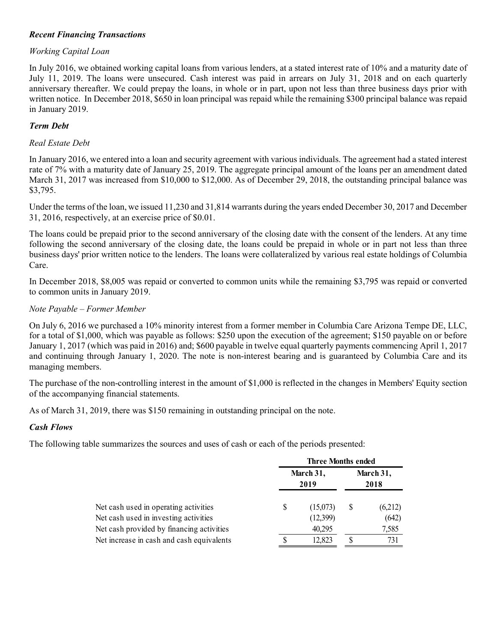### Recent Financing Transactions

### Working Capital Loan

In July 2016, we obtained working capital loans from various lenders, at a stated interest rate of 10% and a maturity date of July 11, 2019. The loans were unsecured. Cash interest was paid in arrears on July 31, 2018 and on each quarterly anniversary thereafter. We could prepay the loans, in whole or in part, upon not less than three business days prior with written notice. In December 2018, \$650 in loan principal was repaid while the remaining \$300 principal balance was repaid in January 2019.

### Term Debt

#### Real Estate Debt

In January 2016, we entered into a loan and security agreement with various individuals. The agreement had a stated interest rate of 7% with a maturity date of January 25, 2019. The aggregate principal amount of the loans per an amendment dated March 31, 2017 was increased from \$10,000 to \$12,000. As of December 29, 2018, the outstanding principal balance was \$3,795.

Under the terms of the loan, we issued 11,230 and 31,814 warrants during the years ended December 30, 2017 and December 31, 2016, respectively, at an exercise price of \$0.01.

The loans could be prepaid prior to the second anniversary of the closing date with the consent of the lenders. At any time following the second anniversary of the closing date, the loans could be prepaid in whole or in part not less than three business days' prior written notice to the lenders. The loans were collateralized by various real estate holdings of Columbia Care.

In December 2018, \$8,005 was repaid or converted to common units while the remaining \$3,795 was repaid or converted to common units in January 2019.

#### Note Payable – Former Member

On July 6, 2016 we purchased a 10% minority interest from a former member in Columbia Care Arizona Tempe DE, LLC, for a total of \$1,000, which was payable as follows: \$250 upon the execution of the agreement; \$150 payable on or before January 1, 2017 (which was paid in 2016) and; \$600 payable in twelve equal quarterly payments commencing April 1, 2017 and continuing through January 1, 2020. The note is non-interest bearing and is guaranteed by Columbia Care and its managing members. ile the remaining \$3,795 was repaid or converted<br>
mber in Columbia Care Arizona Tempe DE, LLC,<br>
tion of the agreement; \$150 payable on or before<br>
inal quarterly payments commencing April 1, 2017<br>
mg and is guaranteed by Co the remaining \$3,795 was repaid or converted<br>
er in Columbia Care Arizona Tempe DE, LLC,<br>
on of the agreement; \$150 payable on or before<br>
quarterly payments commencing April 1, 2017<br>
and is guaranteed by Columbia Care and

The purchase of the non-controlling interest in the amount of \$1,000 is reflected in the changes in Members' Equity section of the accompanying financial statements.

As of March 31, 2019, there was \$150 remaining in outstanding principal on the note.

#### Cash Flows

The following table summarizes the sources and uses of cash or each of the periods presented:

| ormer Member                                                                                                                                                                                                                                                                                                                                                                                                                       |                                        |   |              |
|------------------------------------------------------------------------------------------------------------------------------------------------------------------------------------------------------------------------------------------------------------------------------------------------------------------------------------------------------------------------------------------------------------------------------------|----------------------------------------|---|--------------|
| e purchased a 10% minority interest from a former member in Columbia Care Arizona Tempe DE, LLC,<br>00, which was payable as follows: \$250 upon the execution of the agreement; \$150 payable on or before<br>which was paid in 2016) and; \$600 payable in twelve equal quarterly payments commencing April 1, 2017<br>rough January 1, 2020. The note is non-interest bearing and is guaranteed by Columbia Care and its<br>rs. |                                        |   |              |
| ne non-controlling interest in the amount of \$1,000 is reflected in the changes in Members' Equity section<br>ing financial statements.                                                                                                                                                                                                                                                                                           |                                        |   |              |
| 019, there was \$150 remaining in outstanding principal on the note.                                                                                                                                                                                                                                                                                                                                                               |                                        |   |              |
|                                                                                                                                                                                                                                                                                                                                                                                                                                    |                                        |   |              |
| le summarizes the sources and uses of cash or each of the periods presented:                                                                                                                                                                                                                                                                                                                                                       | <b>Three Months ended</b><br>March 31, |   | March 31,    |
|                                                                                                                                                                                                                                                                                                                                                                                                                                    | 2019                                   |   | 2018         |
| Net cash used in operating activities                                                                                                                                                                                                                                                                                                                                                                                              | \$<br>(15,073)                         | S | (6,212)      |
| Net cash used in investing activities                                                                                                                                                                                                                                                                                                                                                                                              | (12,399)                               |   | (642)        |
| Net cash provided by financing activities<br>Net increase in cash and cash equivalents                                                                                                                                                                                                                                                                                                                                             | 40,295<br>12,823                       | S | 7,585<br>731 |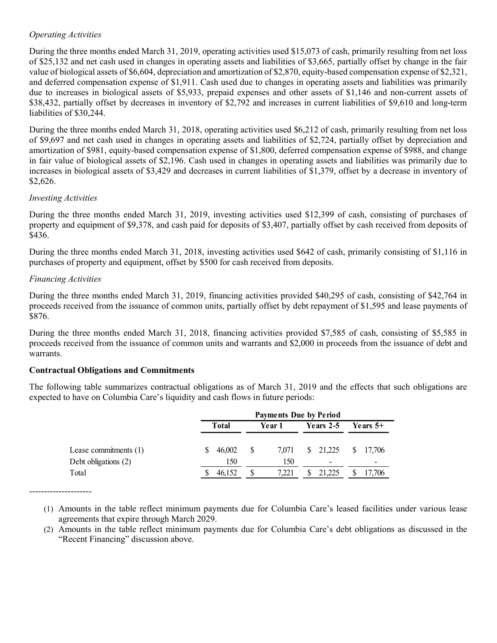# Operating Activities

During the three months ended March 31, 2019, operating activities used \$15,073 of cash, primarily resulting from net loss of \$25,132 and net cash used in changes in operating assets and liabilities of \$3,665, partially offset by change in the fair value of biological assets of \$6,604, depreciation and amortization of \$2,870, equity-based compensation expense of \$2,321, and deferred compensation expense of \$1,911. Cash used due to changes in operating assets and liabilities was primarily due to increases in biological assets of \$5,933, prepaid expenses and other assets of \$1,146 and non-current assets of \$38,432, partially offset by decreases in inventory of \$2,792 and increases in current liabilities of \$9,610 and long-term liabilities of \$30,244.

During the three months ended March 31, 2018, operating activities used \$6,212 of cash, primarily resulting from net loss of \$9,697 and net cash used in changes in operating assets and liabilities of \$2,724, partially offset by depreciation and amortization of \$981, equity-based compensation expense of \$1,800, deferred compensation expense of \$988, and change in fair value of biological assets of \$2,196. Cash used in changes in operating assets and liabilities was primarily due to increases in biological assets of \$3,429 and decreases in current liabilities of \$1,379, offset by a decrease in inventory of \$2,626.

### Investing Activities

During the three months ended March 31, 2019, investing activities used \$12,399 of cash, consisting of purchases of property and equipment of \$9,378, and cash paid for deposits of \$3,407, partially offset by cash received from deposits of \$436.

During the three months ended March 31, 2018, investing activities used \$642 of cash, primarily consisting of \$1,116 in purchases of property and equipment, offset by \$500 for cash received from deposits.

# Financing Activities

During the three months ended March 31, 2019, financing activities provided \$40,295 of cash, consisting of \$42,764 in proceeds received from the issuance of common units, partially offset by debt repayment of \$1,595 and lease payments of \$876.

During the three months ended March 31, 2018, financing activities provided \$7,585 of cash, consisting of \$5,585 in proceeds received from the issuance of common units and warrants and \$2,000 in proceeds from the issuance of debt and warrants.

# Contractual Obligations and Commitments

The following table summarizes contractual obligations as of March 31, 2019 and the effects that such obligations are expected to have on Columbia Care's liquidity and cash flows in future periods:

| he three months ended March 31, 2019, financing activities provided \$40,295 of cash, consisting of \$42,764 in<br>received from the issuance of common units, partially offset by debt repayment of \$1,595 and lease payments of |                     |                    |                                            |            |  |
|------------------------------------------------------------------------------------------------------------------------------------------------------------------------------------------------------------------------------------|---------------------|--------------------|--------------------------------------------|------------|--|
| he three months ended March 31, 2018, financing activities provided \$7,585 of cash, consisting of \$5,585 in<br>received from the issuance of common units and warrants and \$2,000 in proceeds from the issuance of debt and     |                     |                    |                                            |            |  |
|                                                                                                                                                                                                                                    |                     |                    |                                            |            |  |
|                                                                                                                                                                                                                                    |                     |                    |                                            |            |  |
| tual Obligations and Commitments<br>owing table summarizes contractual obligations as of March 31, 2019 and the effects that such obligations are<br>to have on Columbia Care's liquidity and cash flows in future periods:        |                     |                    |                                            |            |  |
|                                                                                                                                                                                                                                    | <b>Total</b>        | Year 1             | <b>Payments Due by Period</b><br>Years 2-5 | Years $5+$ |  |
| Lease commitments $(1)$<br>Debt obligations (2)                                                                                                                                                                                    | 46,002<br>\$<br>150 | \$<br>7,071<br>150 | 21,225<br>S.                               | 17,706     |  |

---------------------

- (1) Amounts in the table reflect minimum payments due for Columbia Care's leased facilities under various lease agreements that expire through March 2029.
- (2) Amounts in the table reflect minimum payments due for Columbia Care's debt obligations as discussed in the "Recent Financing" discussion above.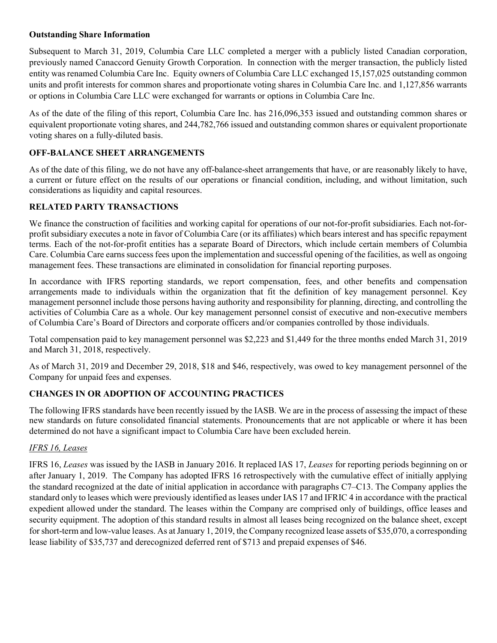### Outstanding Share Information

Subsequent to March 31, 2019, Columbia Care LLC completed a merger with a publicly listed Canadian corporation, previously named Canaccord Genuity Growth Corporation. In connection with the merger transaction, the publicly listed entity was renamed Columbia Care Inc. Equity owners of Columbia Care LLC exchanged 15,157,025 outstanding common units and profit interests for common shares and proportionate voting shares in Columbia Care Inc. and 1,127,856 warrants or options in Columbia Care LLC were exchanged for warrants or options in Columbia Care Inc.

As of the date of the filing of this report, Columbia Care Inc. has 216,096,353 issued and outstanding common shares or equivalent proportionate voting shares, and 244,782,766 issued and outstanding common shares or equivalent proportionate voting shares on a fully-diluted basis.

### OFF-BALANCE SHEET ARRANGEMENTS

As of the date of this filing, we do not have any off-balance-sheet arrangements that have, or are reasonably likely to have, a current or future effect on the results of our operations or financial condition, including, and without limitation, such considerations as liquidity and capital resources.

# RELATED PARTY TRANSACTIONS

We finance the construction of facilities and working capital for operations of our not-for-profit subsidiaries. Each not-forprofit subsidiary executes a note in favor of Columbia Care (or its affiliates) which bears interest and has specific repayment terms. Each of the not-for-profit entities has a separate Board of Directors, which include certain members of Columbia Care. Columbia Care earns success fees upon the implementation and successful opening of the facilities, as well as ongoing management fees. These transactions are eliminated in consolidation for financial reporting purposes.

In accordance with IFRS reporting standards, we report compensation, fees, and other benefits and compensation arrangements made to individuals within the organization that fit the definition of key management personnel. Key management personnel include those persons having authority and responsibility for planning, directing, and controlling the activities of Columbia Care as a whole. Our key management personnel consist of executive and non-executive members of Columbia Care's Board of Directors and corporate officers and/or companies controlled by those individuals.

Total compensation paid to key management personnel was \$2,223 and \$1,449 for the three months ended March 31, 2019 and March 31, 2018, respectively.

As of March 31, 2019 and December 29, 2018, \$18 and \$46, respectively, was owed to key management personnel of the Company for unpaid fees and expenses.

# CHANGES IN OR ADOPTION OF ACCOUNTING PRACTICES

The following IFRS standards have been recently issued by the IASB. We are in the process of assessing the impact of these new standards on future consolidated financial statements. Pronouncements that are not applicable or where it has been determined do not have a significant impact to Columbia Care have been excluded herein.

#### IFRS 16, Leases

IFRS 16, Leases was issued by the IASB in January 2016. It replaced IAS 17, Leases for reporting periods beginning on or after January 1, 2019. The Company has adopted IFRS 16 retrospectively with the cumulative effect of initially applying the standard recognized at the date of initial application in accordance with paragraphs C7–C13. The Company applies the standard only to leases which were previously identified as leases under IAS 17 and IFRIC 4 in accordance with the practical expedient allowed under the standard. The leases within the Company are comprised only of buildings, office leases and security equipment. The adoption of this standard results in almost all leases being recognized on the balance sheet, except for short-term and low-value leases. As at January 1, 2019, the Company recognized lease assets of \$35,070, a corresponding lease liability of \$35,737 and derecognized deferred rent of \$713 and prepaid expenses of \$46.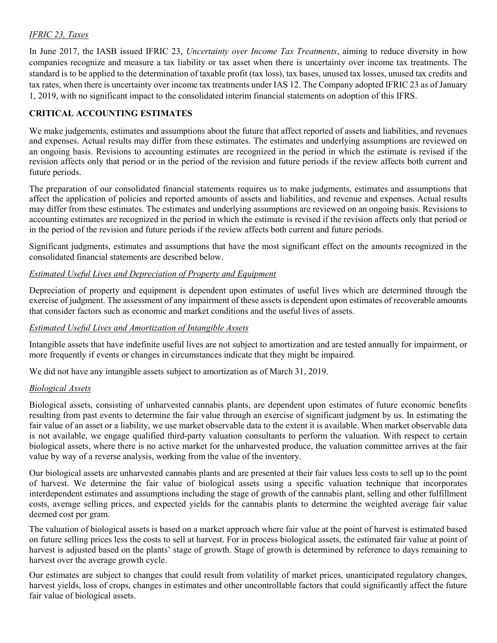# IFRIC 23, Taxes

In June 2017, the IASB issued IFRIC 23, Uncertainty over Income Tax Treatments, aiming to reduce diversity in how companies recognize and measure a tax liability or tax asset when there is uncertainty over income tax treatments. The standard is to be applied to the determination of taxable profit (tax loss), tax bases, unused tax losses, unused tax credits and tax rates, when there is uncertainty over income tax treatments under IAS 12. The Company adopted IFRIC 23 as of January 1, 2019, with no significant impact to the consolidated interim financial statements on adoption of this IFRS.

# CRITICAL ACCOUNTING ESTIMATES

We make judgements, estimates and assumptions about the future that affect reported of assets and liabilities, and revenues and expenses. Actual results may differ from these estimates. The estimates and underlying assumptions are reviewed on an ongoing basis. Revisions to accounting estimates are recognized in the period in which the estimate is revised if the revision affects only that period or in the period of the revision and future periods if the review affects both current and future periods.

The preparation of our consolidated financial statements requires us to make judgments, estimates and assumptions that affect the application of policies and reported amounts of assets and liabilities, and revenue and expenses. Actual results may differ from these estimates. The estimates and underlying assumptions are reviewed on an ongoing basis. Revisions to accounting estimates are recognized in the period in which the estimate is revised if the revision affects only that period or in the period of the revision and future periods if the review affects both current and future periods.

Significant judgments, estimates and assumptions that have the most significant effect on the amounts recognized in the consolidated financial statements are described below.

# Estimated Useful Lives and Depreciation of Property and Equipment

Depreciation of property and equipment is dependent upon estimates of useful lives which are determined through the exercise of judgment. The assessment of any impairment of these assets is dependent upon estimates of recoverable amounts that consider factors such as economic and market conditions and the useful lives of assets.

# Estimated Useful Lives and Amortization of Intangible Assets

Intangible assets that have indefinite useful lives are not subject to amortization and are tested annually for impairment, or more frequently if events or changes in circumstances indicate that they might be impaired.

We did not have any intangible assets subject to amortization as of March 31, 2019.

#### Biological Assets

Biological assets, consisting of unharvested cannabis plants, are dependent upon estimates of future economic benefits resulting from past events to determine the fair value through an exercise of significant judgment by us. In estimating the fair value of an asset or a liability, we use market observable data to the extent it is available. When market observable data is not available, we engage qualified third-party valuation consultants to perform the valuation. With respect to certain biological assets, where there is no active market for the unharvested produce, the valuation committee arrives at the fair value by way of a reverse analysis, working from the value of the inventory.

Our biological assets are unharvested cannabis plants and are presented at their fair values less costs to sell up to the point of harvest. We determine the fair value of biological assets using a specific valuation technique that incorporates interdependent estimates and assumptions including the stage of growth of the cannabis plant, selling and other fulfillment costs, average selling prices, and expected yields for the cannabis plants to determine the weighted average fair value deemed cost per gram.

The valuation of biological assets is based on a market approach where fair value at the point of harvest is estimated based on future selling prices less the costs to sell at harvest. For in process biological assets, the estimated fair value at point of harvest is adjusted based on the plants' stage of growth. Stage of growth is determined by reference to days remaining to harvest over the average growth cycle.

Our estimates are subject to changes that could result from volatility of market prices, unanticipated regulatory changes, harvest yields, loss of crops, changes in estimates and other uncontrollable factors that could significantly affect the future fair value of biological assets.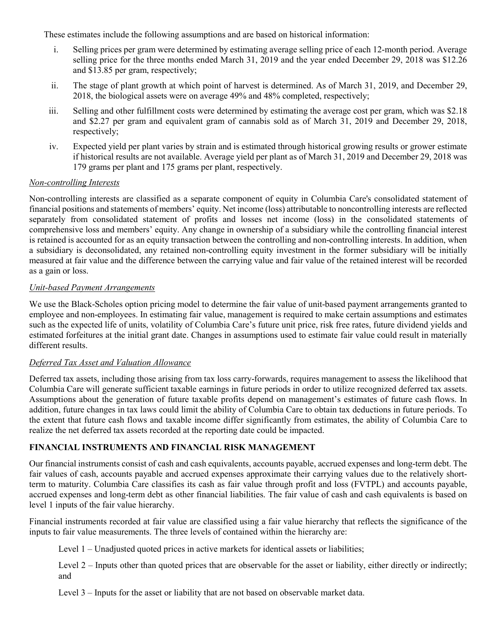These estimates include the following assumptions and are based on historical information:

- i. Selling prices per gram were determined by estimating average selling price of each 12-month period. Average selling price for the three months ended March 31, 2019 and the year ended December 29, 2018 was \$12.26 and \$13.85 per gram, respectively;
- ii. The stage of plant growth at which point of harvest is determined. As of March 31, 2019, and December 29, 2018, the biological assets were on average 49% and 48% completed, respectively;
- iii. Selling and other fulfillment costs were determined by estimating the average cost per gram, which was \$2.18 and \$2.27 per gram and equivalent gram of cannabis sold as of March 31, 2019 and December 29, 2018, respectively;
- iv. Expected yield per plant varies by strain and is estimated through historical growing results or grower estimate if historical results are not available. Average yield per plant as of March 31, 2019 and December 29, 2018 was 179 grams per plant and 175 grams per plant, respectively.

#### Non-controlling Interests

Non-controlling interests are classified as a separate component of equity in Columbia Care's consolidated statement of financial positions and statements of members' equity. Net income (loss) attributable to noncontrolling interests are reflected separately from consolidated statement of profits and losses net income (loss) in the consolidated statements of comprehensive loss and members' equity. Any change in ownership of a subsidiary while the controlling financial interest is retained is accounted for as an equity transaction between the controlling and non-controlling interests. In addition, when a subsidiary is deconsolidated, any retained non-controlling equity investment in the former subsidiary will be initially measured at fair value and the difference between the carrying value and fair value of the retained interest will be recorded as a gain or loss.

#### Unit-based Payment Arrangements

We use the Black-Scholes option pricing model to determine the fair value of unit-based payment arrangements granted to employee and non-employees. In estimating fair value, management is required to make certain assumptions and estimates such as the expected life of units, volatility of Columbia Care's future unit price, risk free rates, future dividend yields and estimated forfeitures at the initial grant date. Changes in assumptions used to estimate fair value could result in materially different results.

#### Deferred Tax Asset and Valuation Allowance

Deferred tax assets, including those arising from tax loss carry-forwards, requires management to assess the likelihood that Columbia Care will generate sufficient taxable earnings in future periods in order to utilize recognized deferred tax assets. Assumptions about the generation of future taxable profits depend on management's estimates of future cash flows. In addition, future changes in tax laws could limit the ability of Columbia Care to obtain tax deductions in future periods. To the extent that future cash flows and taxable income differ significantly from estimates, the ability of Columbia Care to realize the net deferred tax assets recorded at the reporting date could be impacted.

### FINANCIAL INSTRUMENTS AND FINANCIAL RISK MANAGEMENT

Our financial instruments consist of cash and cash equivalents, accounts payable, accrued expenses and long-term debt. The fair values of cash, accounts payable and accrued expenses approximate their carrying values due to the relatively shortterm to maturity. Columbia Care classifies its cash as fair value through profit and loss (FVTPL) and accounts payable, accrued expenses and long-term debt as other financial liabilities. The fair value of cash and cash equivalents is based on level 1 inputs of the fair value hierarchy.

Financial instruments recorded at fair value are classified using a fair value hierarchy that reflects the significance of the inputs to fair value measurements. The three levels of contained within the hierarchy are:

- Level 1 Unadjusted quoted prices in active markets for identical assets or liabilities;
- Level  $2$  Inputs other than quoted prices that are observable for the asset or liability, either directly or indirectly; and
- Level 3 Inputs for the asset or liability that are not based on observable market data.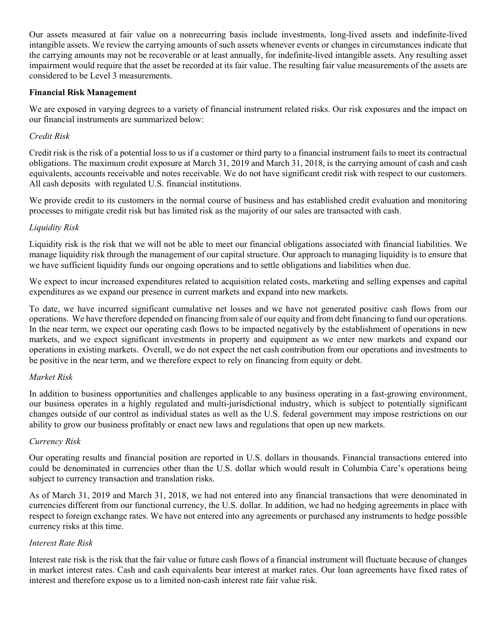Our assets measured at fair value on a nonrecurring basis include investments, long-lived assets and indefinite-lived intangible assets. We review the carrying amounts of such assets whenever events or changes in circumstances indicate that the carrying amounts may not be recoverable or at least annually, for indefinite-lived intangible assets. Any resulting asset impairment would require that the asset be recorded at its fair value. The resulting fair value measurements of the assets are considered to be Level 3 measurements.

### Financial Risk Management

We are exposed in varying degrees to a variety of financial instrument related risks. Our risk exposures and the impact on our financial instruments are summarized below:

# Credit Risk

Credit risk is the risk of a potential loss to us if a customer or third party to a financial instrument fails to meet its contractual obligations. The maximum credit exposure at March 31, 2019 and March 31, 2018, is the carrying amount of cash and cash equivalents, accounts receivable and notes receivable. We do not have significant credit risk with respect to our customers. All cash deposits with regulated U.S. financial institutions.

We provide credit to its customers in the normal course of business and has established credit evaluation and monitoring processes to mitigate credit risk but has limited risk as the majority of our sales are transacted with cash.

# Liquidity Risk

Liquidity risk is the risk that we will not be able to meet our financial obligations associated with financial liabilities. We manage liquidity risk through the management of our capital structure. Our approach to managing liquidity is to ensure that we have sufficient liquidity funds our ongoing operations and to settle obligations and liabilities when due.

We expect to incur increased expenditures related to acquisition related costs, marketing and selling expenses and capital expenditures as we expand our presence in current markets and expand into new markets.

To date, we have incurred significant cumulative net losses and we have not generated positive cash flows from our operations. We have therefore depended on financing from sale of our equity and from debt financing to fund our operations. In the near term, we expect our operating cash flows to be impacted negatively by the establishment of operations in new markets, and we expect significant investments in property and equipment as we enter new markets and expand our operations in existing markets. Overall, we do not expect the net cash contribution from our operations and investments to be positive in the near term, and we therefore expect to rely on financing from equity or debt.

# Market Risk

In addition to business opportunities and challenges applicable to any business operating in a fast-growing environment, our business operates in a highly regulated and multi-jurisdictional industry, which is subject to potentially significant changes outside of our control as individual states as well as the U.S. federal government may impose restrictions on our ability to grow our business profitably or enact new laws and regulations that open up new markets.

# Currency Risk

Our operating results and financial position are reported in U.S. dollars in thousands. Financial transactions entered into could be denominated in currencies other than the U.S. dollar which would result in Columbia Care's operations being subject to currency transaction and translation risks.

As of March 31, 2019 and March 31, 2018, we had not entered into any financial transactions that were denominated in currencies different from our functional currency, the U.S. dollar. In addition, we had no hedging agreements in place with respect to foreign exchange rates. We have not entered into any agreements or purchased any instruments to hedge possible currency risks at this time.

# Interest Rate Risk

Interest rate risk is the risk that the fair value or future cash flows of a financial instrument will fluctuate because of changes in market interest rates. Cash and cash equivalents bear interest at market rates. Our loan agreements have fixed rates of interest and therefore expose us to a limited non-cash interest rate fair value risk.